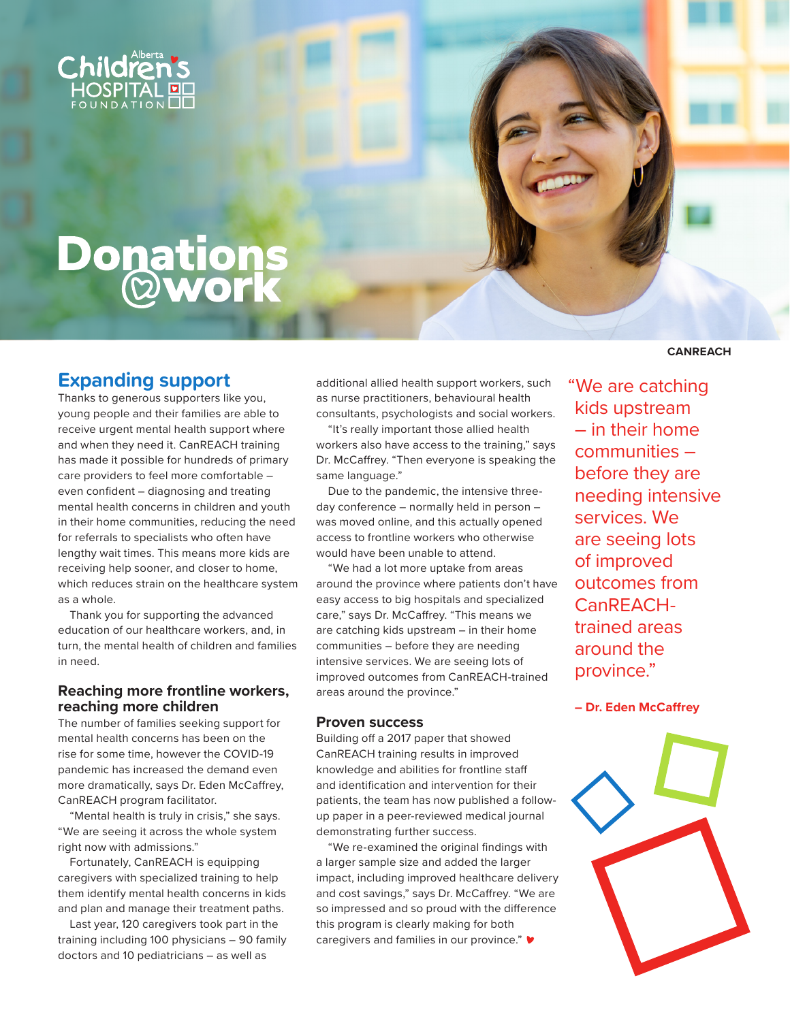

# **Donations**<br>**<b>Qwork**

## **Expanding support**

Thanks to generous supporters like you, young people and their families are able to receive urgent mental health support where and when they need it. CanREACH training has made it possible for hundreds of primary care providers to feel more comfortable – even confident – diagnosing and treating mental health concerns in children and youth in their home communities, reducing the need for referrals to specialists who often have lengthy wait times. This means more kids are receiving help sooner, and closer to home, which reduces strain on the healthcare system as a whole.

Thank you for supporting the advanced education of our healthcare workers, and, in turn, the mental health of children and families in need.

### **Reaching more frontline workers, reaching more children**

The number of families seeking support for mental health concerns has been on the rise for some time, however the COVID-19 pandemic has increased the demand even more dramatically, says Dr. Eden McCaffrey, CanREACH program facilitator.

"Mental health is truly in crisis," she says. "We are seeing it across the whole system right now with admissions."

Fortunately, CanREACH is equipping caregivers with specialized training to help them identify mental health concerns in kids and plan and manage their treatment paths.

Last year, 120 caregivers took part in the training including 100 physicians – 90 family doctors and 10 pediatricians – as well as

additional allied health support workers, such as nurse practitioners, behavioural health consultants, psychologists and social workers.

"It's really important those allied health workers also have access to the training," says Dr. McCaffrey. "Then everyone is speaking the same language."

Due to the pandemic, the intensive threeday conference – normally held in person – was moved online, and this actually opened access to frontline workers who otherwise would have been unable to attend.

"We had a lot more uptake from areas around the province where patients don't have easy access to big hospitals and specialized care," says Dr. McCaffrey. "This means we are catching kids upstream – in their home communities – before they are needing intensive services. We are seeing lots of improved outcomes from CanREACH-trained areas around the province."

#### **Proven success**

Building off a 2017 paper that showed CanREACH training results in improved knowledge and abilities for frontline staff and identification and intervention for their patients, the team has now published a followup paper in a peer-reviewed medical journal demonstrating further success.

"We re-examined the original findings with a larger sample size and added the larger impact, including improved healthcare delivery and cost savings," says Dr. McCaffrey. "We are so impressed and so proud with the difference this program is clearly making for both caregivers and families in our province."

#### **CANREACH**

 "We are catching kids upstream – in their home communities – before they are needing intensive services. We are seeing lots of improved outcomes from CanREACHtrained areas around the province."

**– Dr. Eden McCaffrey**